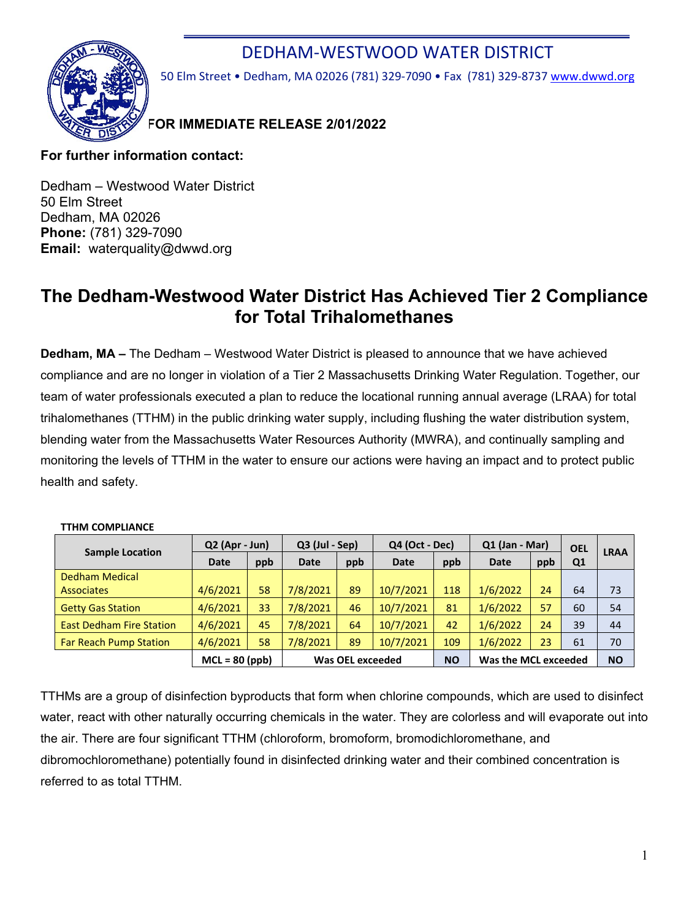## DEDHAM-WESTWOOD WATER DISTRICT



50 Elm Street • Dedham, MA 02026 (781) 329-7090 • Fax (781) 329-8737 [www.dwwd.org](http://www.dwwd.org/)

### **FOR IMMEDIATE RELEASE 2/01/2022**

### **For further information contact:**

Dedham – Westwood Water District 50 Elm Street Dedham, MA 02026 **Phone:** (781) 329-7090 **Email:** waterquality@dwwd.org

# **The Dedham-Westwood Water District Has Achieved Tier 2 Compliance for Total Trihalomethanes**

**Dedham, MA –** The Dedham – Westwood Water District is pleased to announce that we have achieved compliance and are no longer in violation of a Tier 2 Massachusetts Drinking Water Regulation. Together, our team of water professionals executed a plan to reduce the locational running annual average (LRAA) for total trihalomethanes (TTHM) in the public drinking water supply, including flushing the water distribution system, blending water from the Massachusetts Water Resources Authority (MWRA), and continually sampling and monitoring the levels of TTHM in the water to ensure our actions were having an impact and to protect public health and safety.

| <b>Sample Location</b>          | $Q2$ (Apr - Jun) |     | $Q3$ (Jul - Sep) |     | Q4 (Oct - Dec) |           | $Q1$ (Jan - Mar)     |     | <b>OEL</b>     | <b>LRAA</b> |
|---------------------------------|------------------|-----|------------------|-----|----------------|-----------|----------------------|-----|----------------|-------------|
|                                 | <b>Date</b>      | ppb | <b>Date</b>      | ppb | <b>Date</b>    | ppb       | <b>Date</b>          | ppb | Q <sub>1</sub> |             |
| <b>Dedham Medical</b>           |                  |     |                  |     |                |           |                      |     |                |             |
| <b>Associates</b>               | 4/6/2021         | 58  | 7/8/2021         | 89  | 10/7/2021      | 118       | 1/6/2022             | 24  | 64             | 73          |
| <b>Getty Gas Station</b>        | 4/6/2021         | 33  | 7/8/2021         | 46  | 10/7/2021      | 81        | 1/6/2022             | 57  | 60             | 54          |
| <b>East Dedham Fire Station</b> | 4/6/2021         | 45  | 7/8/2021         | 64  | 10/7/2021      | 42        | 1/6/2022             | 24  | 39             | 44          |
| <b>Far Reach Pump Station</b>   | 4/6/2021         | 58  | 7/8/2021         | 89  | 10/7/2021      | 109       | 1/6/2022             | 23  | 61             | 70          |
|                                 | $MCL = 80 (ppb)$ |     | Was OEL exceeded |     |                | <b>NO</b> | Was the MCL exceeded |     |                | <b>NO</b>   |

#### **TTHM COMPLIANCE**

TTHMs are a group of disinfection byproducts that form when chlorine compounds, which are used to disinfect water, react with other naturally occurring chemicals in the water. They are colorless and will evaporate out into the air. There are four significant TTHM (chloroform, bromoform, bromodichloromethane, and dibromochloromethane) potentially found in disinfected drinking water and their combined concentration is referred to as total TTHM.